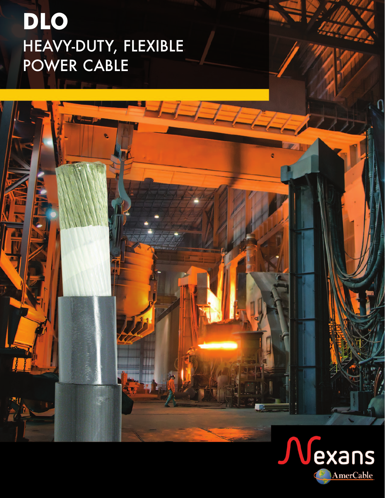# **DLO** HEAVY-DUTY, FLEXIBLE POWER CABLE

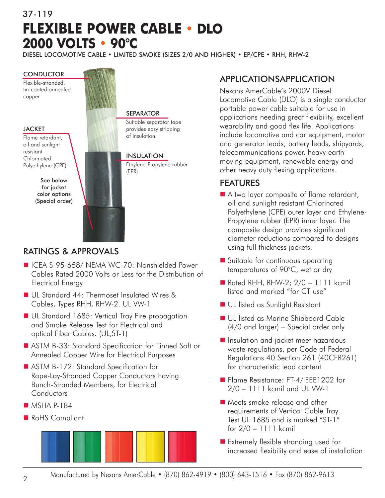# 37-119 **FLEXIBLE POWER CABLE • DLO 2000 VOLTS • 90°C**

DIESEL LOCOMOTIVE CABLE • LIMITED SMOKE (SIZES 2/0 AND HIGHER) • EP/CPE • RHH, RHW-2

#### **CONDUCTOR**

Flexible-stranded, tin-coated annealed copper

#### **JACKET**

Flame retardant, oil and sunlight resistant **Chlorinated** Polyethylene (CPE)

> See below for jacket color options (Special order)



#### SEPARATOR

Suitable separator tape provides easy stripping of insulation

#### INSULATION

Ethylene-Propylene rubber (EPR)

### RATINGS & APPROVALS

- ICEA S-95-658/ NEMA WC-70: Nonshielded Power Cables Rated 2000 Volts or Less for the Distribution of Electrical Energy
- n UL Standard 44: Thermoset Insulated Wires & Cables, Types RHH, RHW-2. UL VW-1
- UL Standard 1685: Vertical Tray Fire propagation and Smoke Release Test for Electrical and optical Fiber Cables. (UL,ST-1)
- ASTM B-33: Standard Specification for Tinned Soft or Annealed Copper Wire for Electrical Purposes
- ASTM B-172: Standard Specification for Rope-Lay-Stranded Copper Conductors having Bunch-Stranded Members, for Electrical **Conductors**
- $MSHA$  P-184
- RoHS Compliant



# APPLICATIONSAPPLICATION

Nexans AmerCable's 2000V Diesel Locomotive Cable (DLO) is a single conductor portable power cable suitable for use in applications needing great flexibility, excellent wearability and good flex life. Applications include locomotive and car equipment, motor and generator leads, battery leads, shipyards, telecommunications power, heavy earth moving equipment, renewable energy and other heavy duty flexing applications.

### FEATURES

- A two layer composite of flame retardant, oil and sunlight resistant Chlorinated Polyethylene (CPE) outer layer and Ethylene-Propylene rubber (EPR) inner layer. The composite design provides significant diameter reductions compared to designs using full thickness jackets.
- Suitable for continuous operating temperatures of 90°C, wet or dry
- Rated RHH, RHW-2;  $2/0 1111$  kcmil listed and marked "for CT use"
- **n** UL listed as Sunlight Resistant
- **n** UL listed as Marine Shipboard Cable (4/0 and larger) – Special order only
- **n** Insulation and jacket meet hazardous waste regulations, per Code of Federal Regulations 40 Section 261 (40CFR261) for characteristic lead content
- Flame Resistance: FT-4/IEEE1202 for 2/0 – 1111 kcmil and UL VW-1
- Meets smoke release and other requirements of Vertical Cable Tray Test UL 1685 and is marked "ST-1" for 2/0 – 1111 kcmil
- Extremely flexible stranding used for increased flexibility and ease of installation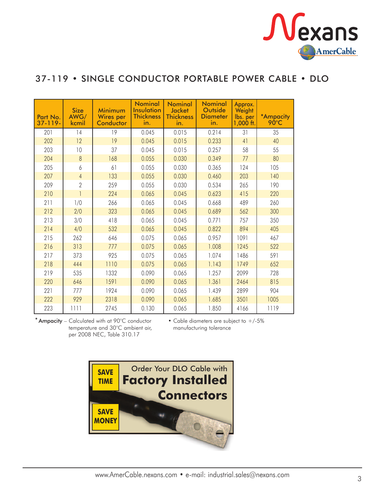

# 37-119 • SINGLE CONDUCTOR PORTABLE POWER CABLE • DLO

| Part No.<br>$37 - 119 -$ | <b>Size</b><br>AWG/<br>kcmil | Minimum<br><b>Wires</b> per<br>Conductor | <b>Nominal</b><br>Insulation<br><b>Thickness</b><br>in. | <b>Nominal</b><br><b>Jacket</b><br><b>Thickness</b><br>in. | <b>Nominal</b><br><b>Outside</b><br><b>Diameter</b><br>in. | Approx.<br>Weight<br>lbs. per<br>$1,000$ ft. | *Ampacity<br>$90^{\circ}$ C |
|--------------------------|------------------------------|------------------------------------------|---------------------------------------------------------|------------------------------------------------------------|------------------------------------------------------------|----------------------------------------------|-----------------------------|
| 201                      | 14                           | 19                                       | 0.045                                                   | 0.015                                                      | 0.214                                                      | 31                                           | 35                          |
| 202                      | 12                           | 19                                       | 0.045                                                   | 0.015                                                      | 0.233                                                      | 41                                           | 40                          |
| 203                      | 10                           | 37                                       | 0.045                                                   | 0.015                                                      | 0.257                                                      | 58                                           | 55                          |
| 204                      | 8                            | 168                                      | 0.055                                                   | 0.030                                                      | 0.349                                                      | 77                                           | 80                          |
| 205                      | 6                            | 61                                       | 0.055                                                   | 0.030                                                      | 0.365                                                      | 124                                          | 105                         |
| 207                      | $\overline{4}$               | 133                                      | 0.055                                                   | 0.030                                                      | 0.460                                                      | 203                                          | 140                         |
| 209                      | $\overline{2}$               | 259                                      | 0.055                                                   | 0.030                                                      | 0.534                                                      | 265                                          | 190                         |
| 210                      |                              | 224                                      | 0.065                                                   | 0.045                                                      | 0.623                                                      | 415                                          | 220                         |
| 211                      | 1/0                          | 266                                      | 0.065                                                   | 0.045                                                      | 0.668                                                      | 489                                          | 260                         |
| 212                      | 2/0                          | 323                                      | 0.065                                                   | 0.045                                                      | 0.689                                                      | 562                                          | 300                         |
| 213                      | 3/0                          | 418                                      | 0.065                                                   | 0.045                                                      | 0.771                                                      | 757                                          | 350                         |
| 214                      | 4/0                          | 532                                      | 0.065                                                   | 0.045                                                      | 0.822                                                      | 894                                          | 405                         |
| 215                      | 262                          | 646                                      | 0.075                                                   | 0.065                                                      | 0.957                                                      | 1091                                         | 467                         |
| 216                      | 313                          | 777                                      | 0.075                                                   | 0.065                                                      | 1.008                                                      | 1245                                         | 522                         |
| 217                      | 373                          | 925                                      | 0.075                                                   | 0.065                                                      | 1.074                                                      | 1486                                         | 591                         |
| 218                      | 444                          | 1110                                     | 0.075                                                   | 0.065                                                      | 1.143                                                      | 1749                                         | 652                         |
| 219                      | 535                          | 1332                                     | 0.090                                                   | 0.065                                                      | 1.257                                                      | 2099                                         | 728                         |
| 220                      | 646                          | 1591                                     | 0.090                                                   | 0.065                                                      | 1.361                                                      | 2464                                         | 815                         |
| 221                      | 777                          | 1924                                     | 0.090                                                   | 0.065                                                      | 1.439                                                      | 2899                                         | 904                         |
| 222                      | 929                          | 2318                                     | 0.090                                                   | 0.065                                                      | 1.685                                                      | 3501                                         | 1005                        |
| 223                      | 1111                         | 2745                                     | 0.130                                                   | 0.065                                                      | 1.850                                                      | 4166                                         | 1119                        |

\* Ampacity – Calculated with at 90°C conductor temperature and 30°C ambient air, per 2008 NEC, Table 310.17

• Cable diameters are subject to +/-5% manufacturing tolerance